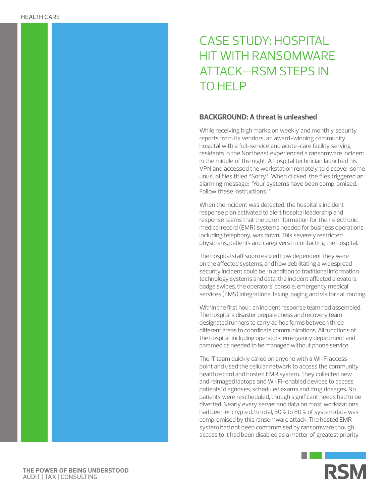# CASE STUDY: HOSPITAL HIT WITH RANSOMWARE ATTACK—RSM STEPS IN TO HELP

## **BACKGROUND: A threat is unleashed**

While receiving high marks on weekly and monthly security reports from its vendors, an award-winning community hospital with a full-service and acute-care facility serving residents in the Northeast experienced a ransomware incident in the middle of the night. A hospital technician launched his VPN and accessed the workstation remotely to discover some unusual files titled "Sorry." When clicked, the files triggered an alarming message: "Your systems have been compromised. Follow these instructions."

When the incident was detected, the hospital's incident response plan activated to alert hospital leadership and response teams that the core information for their electronic medical record (EMR) systems needed for business operations, including telephony, was down. This severely restricted physicians, patients and caregivers in contacting the hospital.

The hospital staff soon realized how dependent they were on the affected systems, and how debilitating a widespread security incident could be. In addition to traditional information technology systems and data, the incident affected elevators, badge swipes, the operators' console, emergency medical services (EMS) integrations, faxing, paging and visitor call routing.

Within the first hour, an incident response team had assembled. The hospital's disaster preparedness and recovery team designated runners to carry ad hoc forms between three different areas to coordinate communications. All functions of the hospital, including operators, emergency department and paramedics needed to be managed without phone service.

The IT team quickly called on anyone with a Wi-Fi access point and used the cellular network to access the community health record and hosted EMR system. They collected new and reimaged laptops and Wi-Fi-enabled devices to access patients' diagnoses, scheduled exams and drug dosages. No patients were rescheduled, though significant needs had to be diverted. Nearly every server and data on most workstations had been encrypted. In total, 50% to 80% of system data was compromised by this ransomware attack. The hosted EMR system had not been compromised by ransomware though access to it had been disabled as a matter of greatest priority.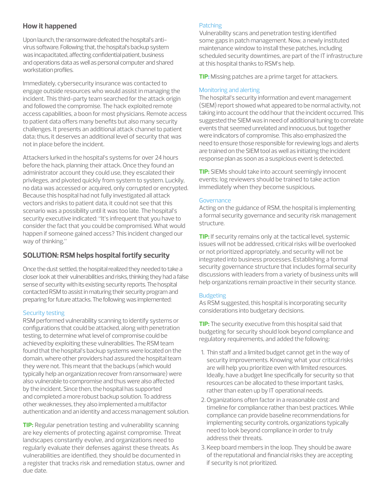# **How it happened**

Upon launch, the ransomware defeated the hospital's antivirus software. Following that, the hospital's backup system was incapacitated, affecting confidential patient, business and operations data as well as personal computer and shared workstation profiles.

Immediately, cybersecurity insurance was contacted to engage outside resources who would assist in managing the incident. This third-party team searched for the attack origin and followed the compromise. The hack exploited remote access capabilities, a boon for most physicians. Remote access to patient data offers many benefits but also many security challenges. It presents an additional attack channel to patient data; thus, it deserves an additional level of security that was not in place before the incident.

Attackers lurked in the hospital's systems for over 24 hours before the hack, planning their attack. Once they found an administrator account they could use, they escalated their privileges, and pivoted quickly from system to system. Luckily, no data was accessed or acquired, only corrupted or encrypted. Because this hospital had not fully investigated all attack vectors and risks to patient data, it could not see that this scenario was a possibility until it was too late. The hospital's security executive indicated: "It's infrequent that you have to consider the fact that you could be compromised. What would happen if someone gained access? This incident changed our way of thinking."

## **SOLUTION: RSM helps hospital fortify security**

Once the dust settled, the hospital realized they needed to take a closer look at their vulnerabilities and risks, thinking they had a false sense of security with its existing security reports. The hospital contacted RSM to assist in maturing their security program and preparing for future attacks. The following was implemented:

## Security testing

RSM performed vulnerability scanning to identify systems or configurations that could be attacked, along with penetration testing, to determine what level of compromise could be achieved by exploiting these vulnerabilities. The RSM team found that the hospital's backup systems were located on the domain, where other providers had assured the hospital team they were not. This meant that the backups (which would typically help an organization recover from ransomware) were also vulnerable to compromise and thus were also affected by the incident. Since then, the hospital has supported and completed a more robust backup solution. To address other weaknesses, they also implemented a multifactor authentication and an identity and access management solution.

**TIP:** Regular penetration testing and vulnerability scanning are key elements of protecting against compromise. Threat landscapes constantly evolve, and organizations need to regularly evaluate their defenses against these threats. As vulnerabilities are identified, they should be documented in a register that tracks risk and remediation status, owner and due date.

#### **Patching**

Vulnerability scans and penetration testing identified some gaps in patch management. Now, a newly instituted maintenance window to install these patches, including scheduled security downtimes, are part of the IT infrastructure at this hospital thanks to RSM's help.

**TIP:** Missing patches are a prime target for attackers.

## Monitoring and alerting

The hospital's security information and event management (SIEM) report showed what appeared to be normal activity, not taking into account the odd hour that the incident occurred. This suggested the SIEM was in need of additional tuning to correlate events that seemed unrelated and innocuous, but together were indicators of compromise. This also emphasized the need to ensure those responsible for reviewing logs and alerts are trained on the SIEM tool as well as initiating the incident response plan as soon as a suspicious event is detected.

**TIP:** SIEMs should take into account seemingly innocent events; log reviewers should be trained to take action immediately when they become suspicious.

#### Governance

Acting on the guidance of RSM, the hospital is implementing a formal security governance and security risk management structure.

**TIP:** If security remains only at the tactical level, systemic issues will not be addressed, critical risks will be overlooked or not prioritized appropriately, and security will not be integrated into business processes. Establishing a formal security governance structure that includes formal security discussions with leaders from a variety of business units will help organizations remain proactive in their security stance.

## **Budgeting**

As RSM suggested, this hospital is incorporating security considerations into budgetary decisions.

**TIP:** The security executive from this hospital said that budgeting for security should look beyond compliance and regulatory requirements, and added the following:

- 1. Thin staff and a limited budget cannot get in the way of security improvements. Knowing what your critical risks are will help you prioritize even with limited resources. Ideally, have a budget line specifically for security so that resources can be allocated to these important tasks, rather than eaten up by IT operational needs.
- 2.Organizations often factor in a reasonable cost and timeline for compliance rather than best practices. While compliance can provide baseline recommendations for implementing security controls, organizations typically need to look beyond compliance in order to truly address their threats.
- 3.Keep board members in the loop. They should be aware of the reputational and financial risks they are accepting if security is not prioritized.